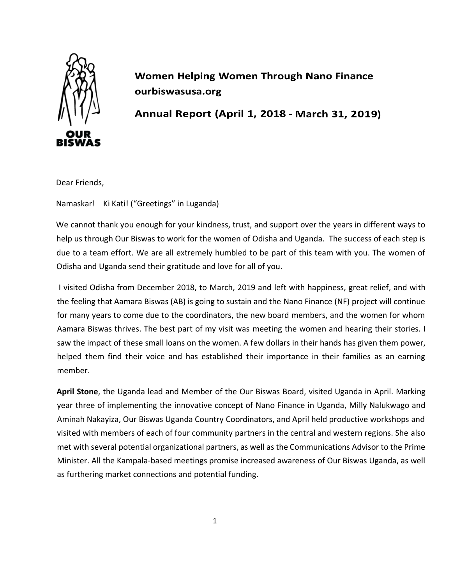

**Women Helping Women Through Nano Finance** ourbiswasusa.org

Annual Report (April 1, 2018 - March 31, 2019)

Dear Friends,

Namaskar! Ki Kati! ("Greetings" in Luganda)

We cannot thank you enough for your kindness, trust, and support over the years in different ways to help us through Our Biswas to work for the women of Odisha and Uganda. The success of each step is due to a team effort. We are all extremely humbled to be part of this team with you. The women of Odisha and Uganda send their gratitude and love for all of you.

I visited Odisha from December 2018, to March, 2019 and left with happiness, great relief, and with the feeling that Aamara Biswas (AB) is going to sustain and the Nano Finance (NF) project will continue for many years to come due to the coordinators, the new board members, and the women for whom Aamara Biswas thrives. The best part of my visit was meeting the women and hearing their stories. I saw the impact of these small loans on the women. A few dollars in their hands has given them power, helped them find their voice and has established their importance in their families as an earning member.

**April Stone**, the Uganda lead and Member of the Our Biswas Board, visited Uganda in April. Marking year three of implementing the innovative concept of Nano Finance in Uganda, Milly Nalukwago and Aminah Nakayiza, Our Biswas Uganda Country Coordinators, and April held productive workshops and visited with members of each of four community partners in the central and western regions. She also met with several potential organizational partners, as well as the Communications Advisor to the Prime Minister. All the Kampala-based meetings promise increased awareness of Our Biswas Uganda, as well as furthering market connections and potential funding.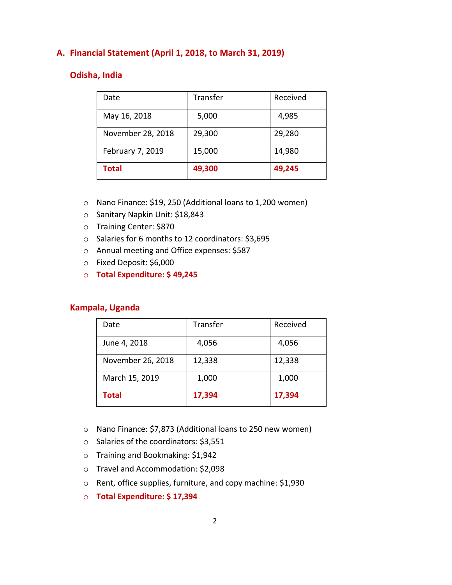## **A. Financial Statement (April 1, 2018, to March 31, 2019)**

### **Odisha, India**

| Date              | Transfer | Received |
|-------------------|----------|----------|
| May 16, 2018      | 5,000    | 4,985    |
| November 28, 2018 | 29,300   | 29,280   |
| February 7, 2019  | 15,000   | 14,980   |
| <b>Total</b>      | 49,300   | 49,245   |

- o Nano Finance: \$19, 250 (Additional loans to 1,200 women)
- o Sanitary Napkin Unit: \$18,843
- o Training Center: \$870
- o Salaries for 6 months to 12 coordinators: \$3,695
- o Annual meeting and Office expenses: \$587
- o Fixed Deposit: \$6,000
- o **Total Expenditure: \$ 49,245**

### **Kampala, Uganda**

| Date              | Transfer | Received |
|-------------------|----------|----------|
| June 4, 2018      | 4,056    | 4,056    |
| November 26, 2018 | 12,338   | 12,338   |
| March 15, 2019    | 1,000    | 1,000    |
| <b>Total</b>      | 17,394   | 17,394   |

- o Nano Finance: \$7,873 (Additional loans to 250 new women)
- o Salaries of the coordinators: \$3,551
- o Training and Bookmaking: \$1,942
- o Travel and Accommodation: \$2,098
- o Rent, office supplies, furniture, and copy machine: \$1,930
- o **Total Expenditure: \$ 17,394**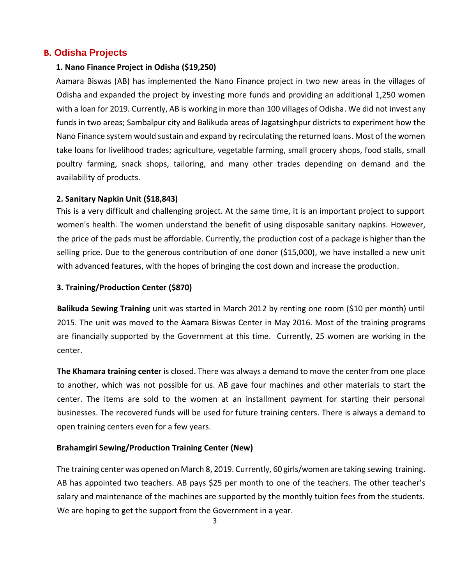# **B. Odisha Projects**

### **1. Nano Finance Project in Odisha (\$19,250)**

Aamara Biswas (AB) has implemented the Nano Finance project in two new areas in the villages of Odisha and expanded the project by investing more funds and providing an additional 1,250 women with a loan for 2019. Currently, AB is working in more than 100 villages of Odisha. We did not invest any funds in two areas; Sambalpur city and Balikuda areas of Jagatsinghpur districts to experiment how the Nano Finance system would sustain and expand by recirculating the returned loans. Most of the women take loans for livelihood trades; agriculture, vegetable farming, small grocery shops, food stalls, small poultry farming, snack shops, tailoring, and many other trades depending on demand and the availability of products.

### **2. Sanitary Napkin Unit (\$18,843)**

This is a very difficult and challenging project. At the same time, it is an important project to support women's health. The women understand the benefit of using disposable sanitary napkins. However, the price of the pads must be affordable. Currently, the production cost of a package is higher than the selling price. Due to the generous contribution of one donor (\$15,000), we have installed a new unit with advanced features, with the hopes of bringing the cost down and increase the production.

## **3. Training/Production Center (\$870)**

**Balikuda Sewing Training** unit was started in March 2012 by renting one room (\$10 per month) until 2015. The unit was moved to the Aamara Biswas Center in May 2016. Most of the training programs are financially supported by the Government at this time. Currently, 25 women are working in the center.

**The Khamara training cente**r is closed. There was always a demand to move the center from one place to another, which was not possible for us. AB gave four machines and other materials to start the center. The items are sold to the women at an installment payment for starting their personal businesses. The recovered funds will be used for future training centers. There is always a demand to open training centers even for a few years.

### **Brahamgiri Sewing/Production Training Center (New)**

The training center was opened on March 8, 2019. Currently, 60 girls/women are taking sewing training. AB has appointed two teachers. AB pays \$25 per month to one of the teachers. The other teacher's salary and maintenance of the machines are supported by the monthly tuition fees from the students. We are hoping to get the support from the Government in a year.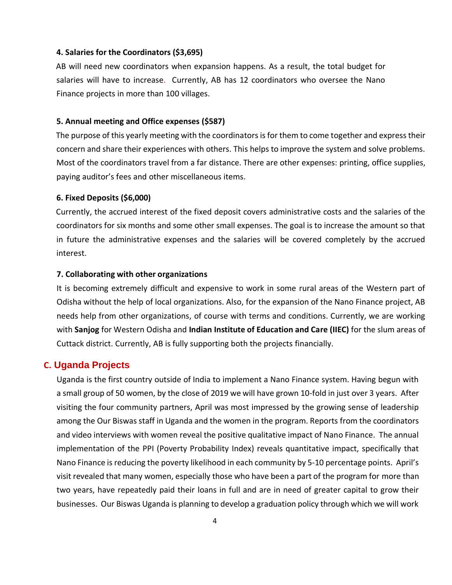#### **4. Salaries for the Coordinators (\$3,695)**

AB will need new coordinators when expansion happens. As a result, the total budget for salaries will have to increase. Currently, AB has 12 coordinators who oversee the Nano Finance projects in more than 100 villages.

### **5. Annual meeting and Office expenses (\$587)**

The purpose of this yearly meeting with the coordinators is for them to come together and express their concern and share their experiences with others. This helps to improve the system and solve problems. Most of the coordinators travel from a far distance. There are other expenses: printing, office supplies, paying auditor's fees and other miscellaneous items.

#### **6. Fixed Deposits (\$6,000)**

Currently, the accrued interest of the fixed deposit covers administrative costs and the salaries of the coordinators for six months and some other small expenses. The goal is to increase the amount so that in future the administrative expenses and the salaries will be covered completely by the accrued interest.

### **7. Collaborating with other organizations**

It is becoming extremely difficult and expensive to work in some rural areas of the Western part of Odisha without the help of local organizations. Also, for the expansion of the Nano Finance project, AB needs help from other organizations, of course with terms and conditions. Currently, we are working with **Sanjog** for Western Odisha and **Indian Institute of Education and Care (IIEC)** for the slum areas of Cuttack district. Currently, AB is fully supporting both the projects financially.

### **C. Uganda Projects**

Uganda is the first country outside of India to implement a Nano Finance system. Having begun with a small group of 50 women, by the close of 2019 we will have grown 10-fold in just over 3 years. After visiting the four community partners, April was most impressed by the growing sense of leadership among the Our Biswas staff in Uganda and the women in the program. Reports from the coordinators and video interviews with women reveal the positive qualitative impact of Nano Finance. The annual implementation of the PPI (Poverty Probability Index) reveals quantitative impact, specifically that Nano Finance is reducing the poverty likelihood in each community by 5-10 percentage points. April's visit revealed that many women, especially those who have been a part of the program for more than two years, have repeatedly paid their loans in full and are in need of greater capital to grow their businesses. Our Biswas Uganda is planning to develop a graduation policy through which we will work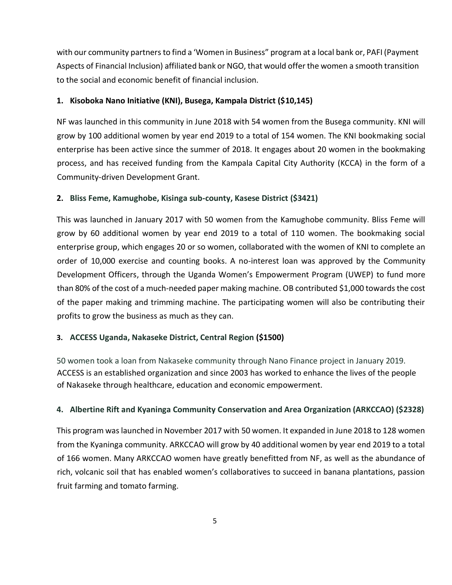with our community partners to find a 'Women in Business" program at a local bank or, PAFI (Payment Aspects of Financial Inclusion) affiliated bank or NGO, that would offer the women a smooth transition to the social and economic benefit of financial inclusion.

## **1. Kisoboka Nano Initiative (KNI), Busega, Kampala District (\$10,145)**

NF was launched in this community in June 2018 with 54 women from the Busega community. KNI will grow by 100 additional women by year end 2019 to a total of 154 women. The KNI bookmaking social enterprise has been active since the summer of 2018. It engages about 20 women in the bookmaking process, and has received funding from the Kampala Capital City Authority (KCCA) in the form of a Community-driven Development Grant.

## **2. Bliss Feme, Kamughobe, Kisinga sub-county, Kasese District (\$3421)**

This was launched in January 2017 with 50 women from the Kamughobe community. Bliss Feme will grow by 60 additional women by year end 2019 to a total of 110 women. The bookmaking social enterprise group, which engages 20 or so women, collaborated with the women of KNI to complete an order of 10,000 exercise and counting books. A no-interest loan was approved by the Community Development Officers, through the Uganda Women's Empowerment Program (UWEP) to fund more than 80% of the cost of a much-needed paper making machine. OB contributed \$1,000 towards the cost of the paper making and trimming machine. The participating women will also be contributing their profits to grow the business as much as they can.

# **3. ACCESS Uganda, Nakaseke District, Central Region (\$1500)**

50 women took a loan from Nakaseke community through Nano Finance project in January 2019. ACCESS is an established organization and since 2003 has worked to enhance the lives of the people of Nakaseke through healthcare, education and economic empowerment.

### **4. Albertine Rift and Kyaninga Community Conservation and Area Organization (ARKCCAO) (\$2328)**

This program was launched in November 2017 with 50 women. It expanded in June 2018 to 128 women from the Kyaninga community. ARKCCAO will grow by 40 additional women by year end 2019 to a total of 166 women. Many ARKCCAO women have greatly benefitted from NF, as well as the abundance of rich, volcanic soil that has enabled women's collaboratives to succeed in banana plantations, passion fruit farming and tomato farming.